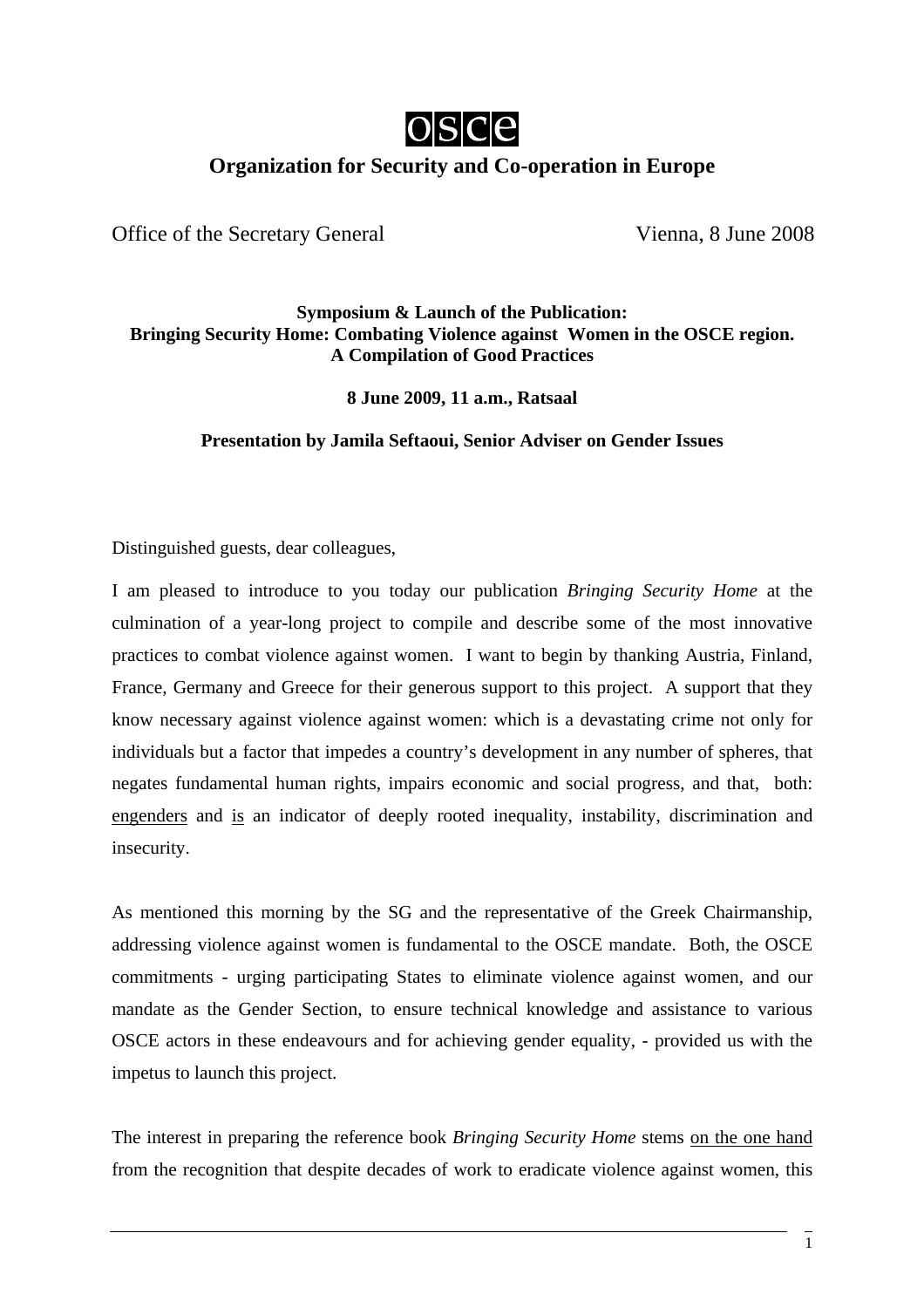

## **Organization for Security and Co-operation in Europe**

Office of the Secretary General Vienna, 8 June 2008

## **Symposium & Launch of the Publication: Bringing Security Home: Combating Violence against Women in the OSCE region. A Compilation of Good Practices**

**8 June 2009, 11 a.m., Ratsaal** 

## **Presentation by Jamila Seftaoui, Senior Adviser on Gender Issues**

Distinguished guests, dear colleagues,

I am pleased to introduce to you today our publication *Bringing Security Home* at the culmination of a year-long project to compile and describe some of the most innovative practices to combat violence against women. I want to begin by thanking Austria, Finland, France, Germany and Greece for their generous support to this project. A support that they know necessary against violence against women: which is a devastating crime not only for individuals but a factor that impedes a country's development in any number of spheres, that negates fundamental human rights, impairs economic and social progress, and that, both: engenders and is an indicator of deeply rooted inequality, instability, discrimination and insecurity.

As mentioned this morning by the SG and the representative of the Greek Chairmanship, addressing violence against women is fundamental to the OSCE mandate. Both, the OSCE commitments - urging participating States to eliminate violence against women, and our mandate as the Gender Section, to ensure technical knowledge and assistance to various OSCE actors in these endeavours and for achieving gender equality, - provided us with the impetus to launch this project.

The interest in preparing the reference book *Bringing Security Home* stems on the one hand from the recognition that despite decades of work to eradicate violence against women, this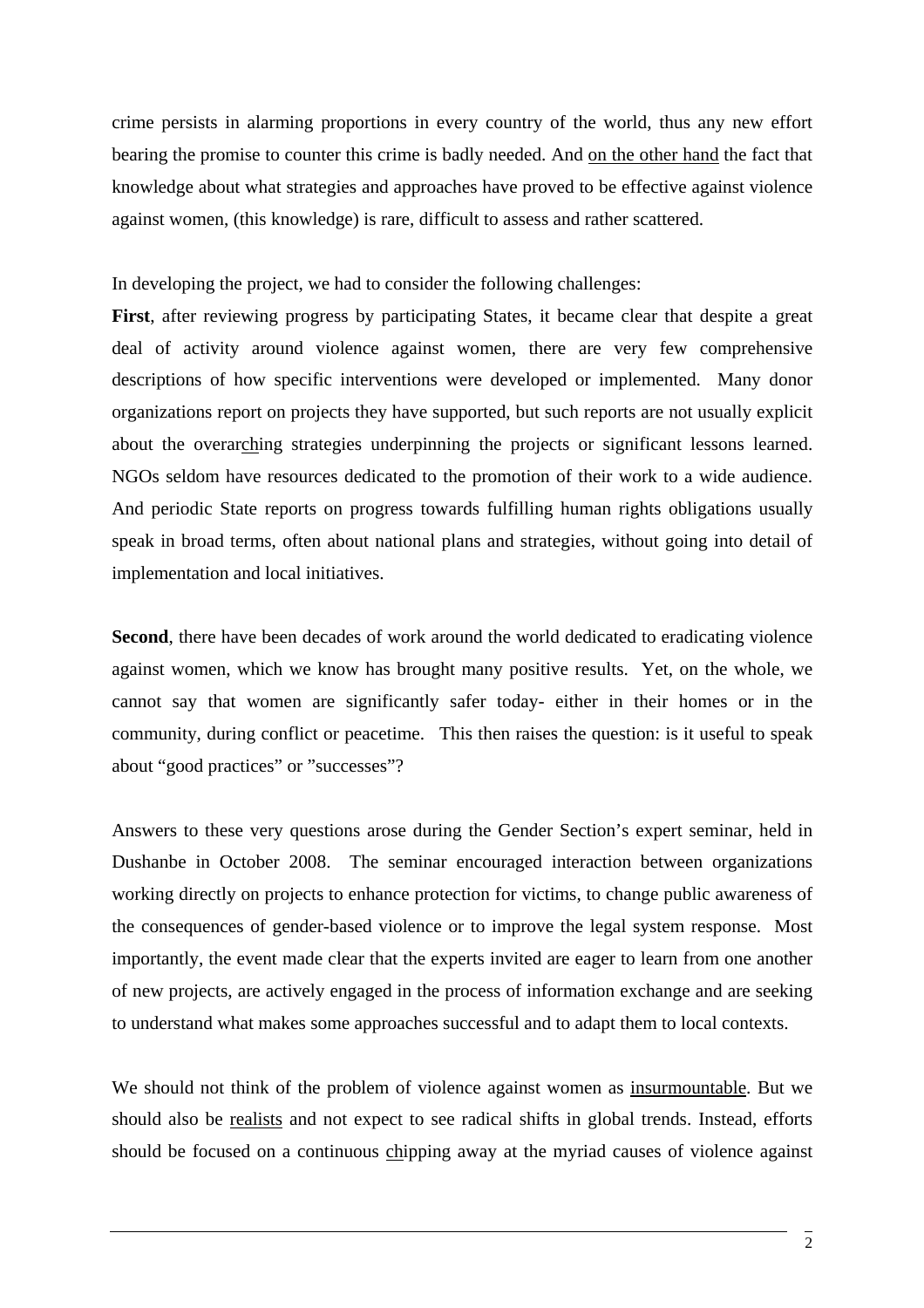crime persists in alarming proportions in every country of the world, thus any new effort bearing the promise to counter this crime is badly needed. And on the other hand the fact that knowledge about what strategies and approaches have proved to be effective against violence against women, (this knowledge) is rare, difficult to assess and rather scattered.

In developing the project, we had to consider the following challenges:

First, after reviewing progress by participating States, it became clear that despite a great deal of activity around violence against women, there are very few comprehensive descriptions of how specific interventions were developed or implemented. Many donor organizations report on projects they have supported, but such reports are not usually explicit about the overarching strategies underpinning the projects or significant lessons learned. NGOs seldom have resources dedicated to the promotion of their work to a wide audience. And periodic State reports on progress towards fulfilling human rights obligations usually speak in broad terms, often about national plans and strategies, without going into detail of implementation and local initiatives.

Second, there have been decades of work around the world dedicated to eradicating violence against women, which we know has brought many positive results. Yet, on the whole, we cannot say that women are significantly safer today- either in their homes or in the community, during conflict or peacetime. This then raises the question: is it useful to speak about "good practices" or "successes"?

Answers to these very questions arose during the Gender Section's expert seminar, held in Dushanbe in October 2008. The seminar encouraged interaction between organizations working directly on projects to enhance protection for victims, to change public awareness of the consequences of gender-based violence or to improve the legal system response. Most importantly, the event made clear that the experts invited are eager to learn from one another of new projects, are actively engaged in the process of information exchange and are seeking to understand what makes some approaches successful and to adapt them to local contexts.

We should not think of the problem of violence against women as insurmountable. But we should also be realists and not expect to see radical shifts in global trends. Instead, efforts should be focused on a continuous chipping away at the myriad causes of violence against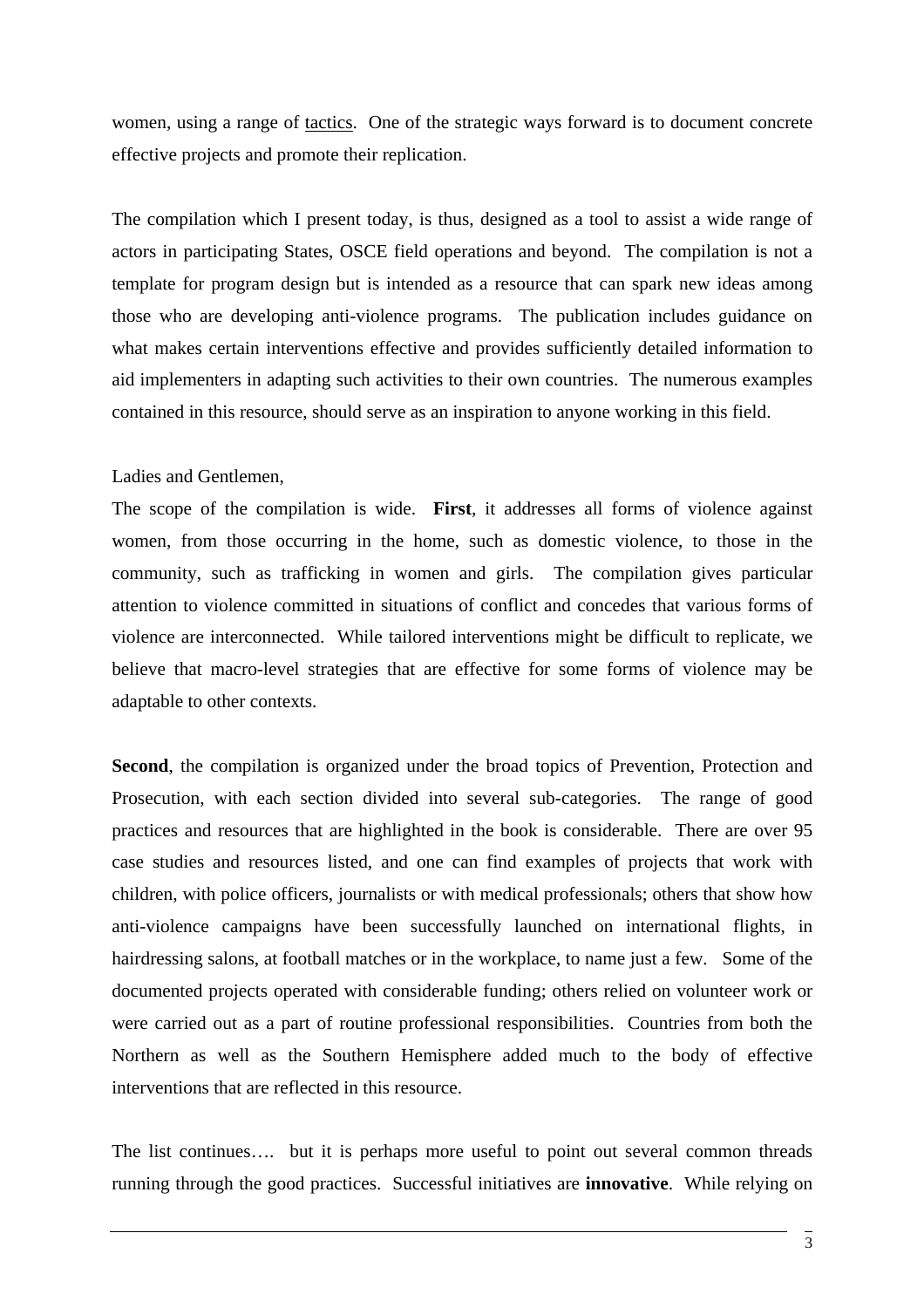women, using a range of tactics. One of the strategic ways forward is to document concrete effective projects and promote their replication.

The compilation which I present today, is thus, designed as a tool to assist a wide range of actors in participating States, OSCE field operations and beyond. The compilation is not a template for program design but is intended as a resource that can spark new ideas among those who are developing anti-violence programs. The publication includes guidance on what makes certain interventions effective and provides sufficiently detailed information to aid implementers in adapting such activities to their own countries. The numerous examples contained in this resource, should serve as an inspiration to anyone working in this field.

## Ladies and Gentlemen,

The scope of the compilation is wide. **First**, it addresses all forms of violence against women, from those occurring in the home, such as domestic violence, to those in the community, such as trafficking in women and girls. The compilation gives particular attention to violence committed in situations of conflict and concedes that various forms of violence are interconnected. While tailored interventions might be difficult to replicate, we believe that macro-level strategies that are effective for some forms of violence may be adaptable to other contexts.

**Second**, the compilation is organized under the broad topics of Prevention, Protection and Prosecution, with each section divided into several sub-categories. The range of good practices and resources that are highlighted in the book is considerable. There are over 95 case studies and resources listed, and one can find examples of projects that work with children, with police officers, journalists or with medical professionals; others that show how anti-violence campaigns have been successfully launched on international flights, in hairdressing salons, at football matches or in the workplace, to name just a few. Some of the documented projects operated with considerable funding; others relied on volunteer work or were carried out as a part of routine professional responsibilities. Countries from both the Northern as well as the Southern Hemisphere added much to the body of effective interventions that are reflected in this resource.

The list continues…. but it is perhaps more useful to point out several common threads running through the good practices. Successful initiatives are **innovative**. While relying on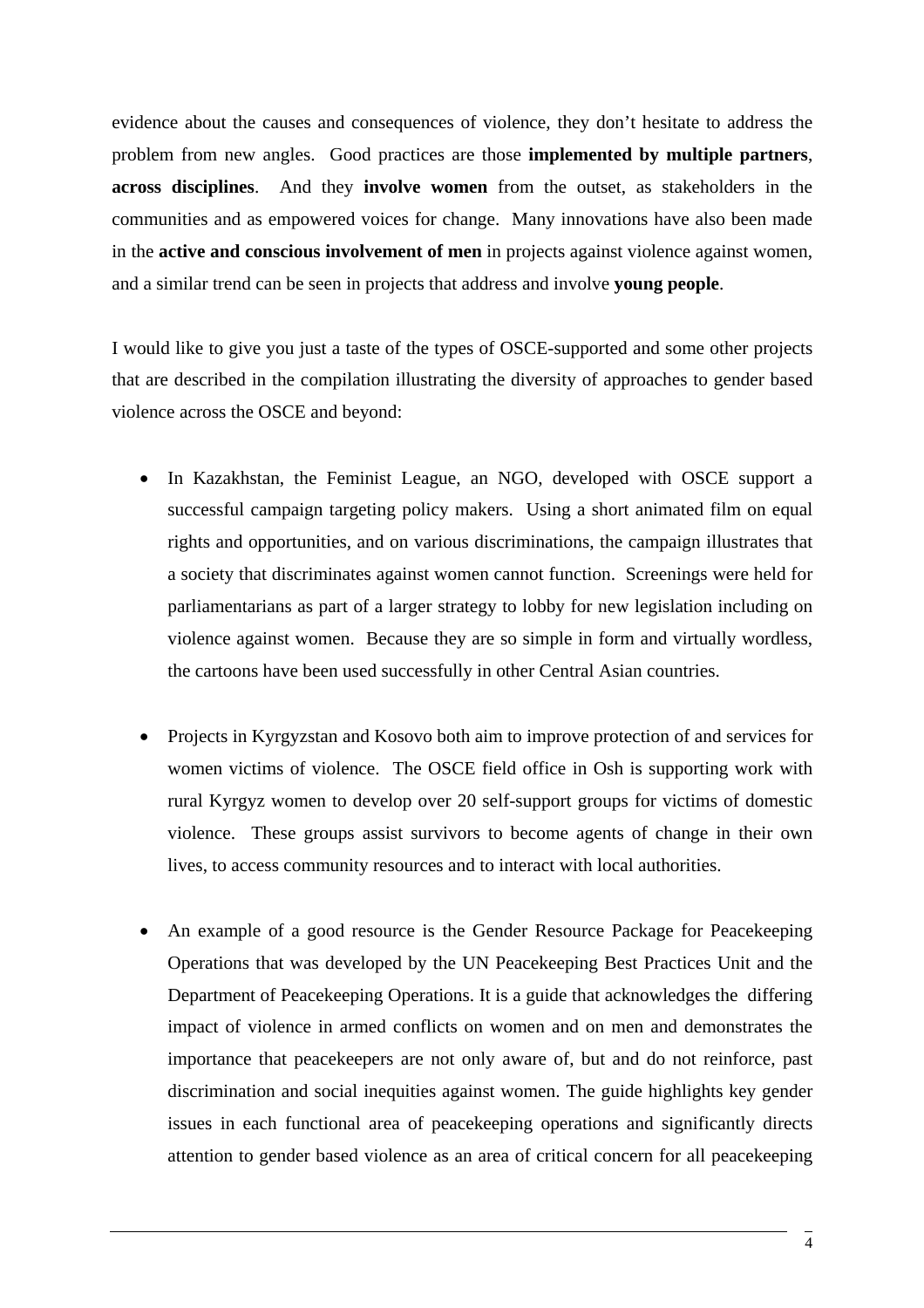evidence about the causes and consequences of violence, they don't hesitate to address the problem from new angles. Good practices are those **implemented by multiple partners**, **across disciplines**. And they **involve women** from the outset, as stakeholders in the communities and as empowered voices for change. Many innovations have also been made in the **active and conscious involvement of men** in projects against violence against women, and a similar trend can be seen in projects that address and involve **young people**.

I would like to give you just a taste of the types of OSCE-supported and some other projects that are described in the compilation illustrating the diversity of approaches to gender based violence across the OSCE and beyond:

- In Kazakhstan, the Feminist League, an NGO, developed with OSCE support a successful campaign targeting policy makers. Using a short animated film on equal rights and opportunities, and on various discriminations, the campaign illustrates that a society that discriminates against women cannot function. Screenings were held for parliamentarians as part of a larger strategy to lobby for new legislation including on violence against women. Because they are so simple in form and virtually wordless, the cartoons have been used successfully in other Central Asian countries.
- Projects in Kyrgyzstan and Kosovo both aim to improve protection of and services for women victims of violence. The OSCE field office in Osh is supporting work with rural Kyrgyz women to develop over 20 self-support groups for victims of domestic violence. These groups assist survivors to become agents of change in their own lives, to access community resources and to interact with local authorities.
- An example of a good resource is the Gender Resource Package for Peacekeeping Operations that was developed by the UN Peacekeeping Best Practices Unit and the Department of Peacekeeping Operations. It is a guide that acknowledges the differing impact of violence in armed conflicts on women and on men and demonstrates the importance that peacekeepers are not only aware of, but and do not reinforce, past discrimination and social inequities against women. The guide highlights key gender issues in each functional area of peacekeeping operations and significantly directs attention to gender based violence as an area of critical concern for all peacekeeping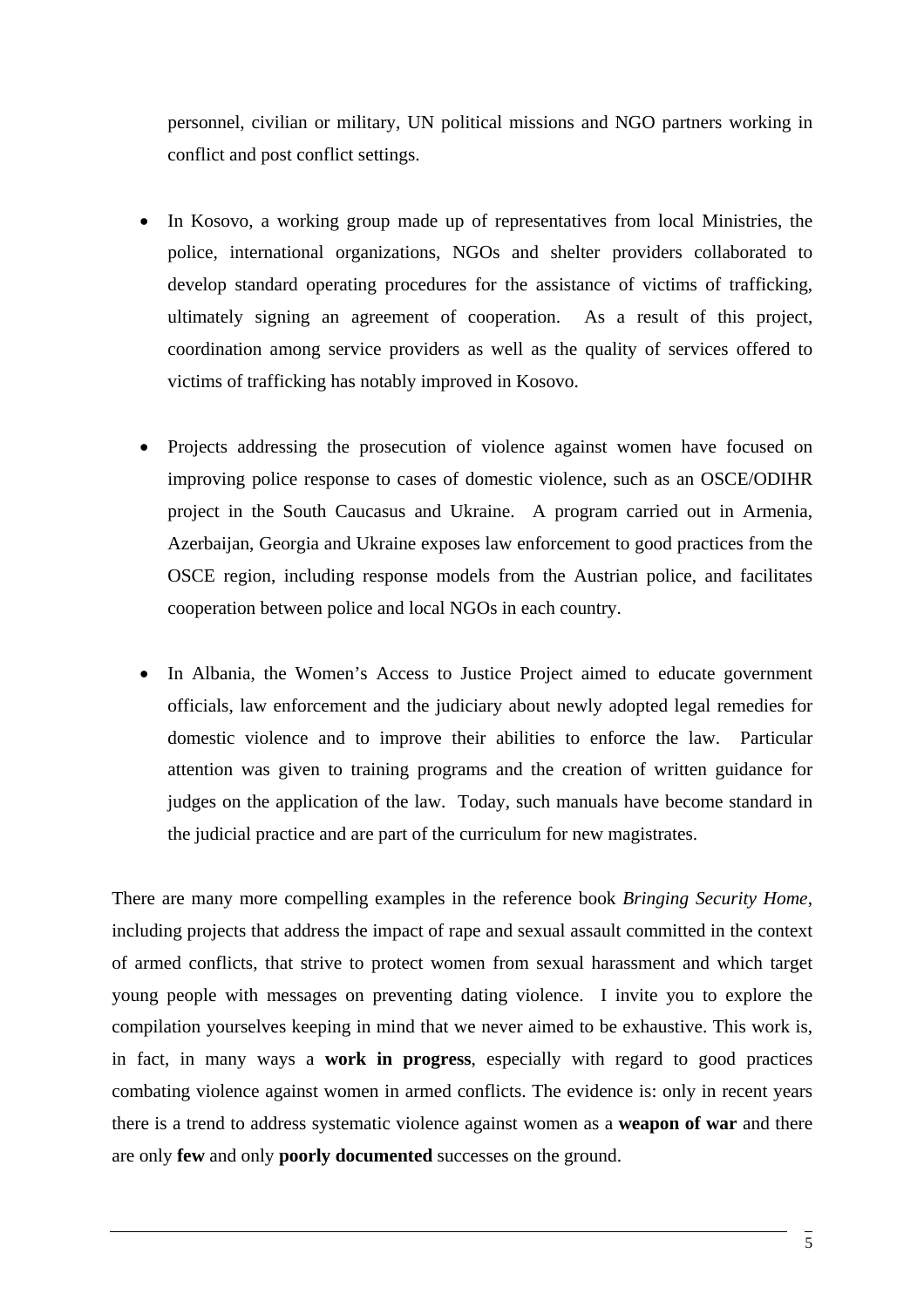personnel, civilian or military, UN political missions and NGO partners working in conflict and post conflict settings.

- In Kosovo, a working group made up of representatives from local Ministries, the police, international organizations, NGOs and shelter providers collaborated to develop standard operating procedures for the assistance of victims of trafficking, ultimately signing an agreement of cooperation. As a result of this project, coordination among service providers as well as the quality of services offered to victims of trafficking has notably improved in Kosovo.
- Projects addressing the prosecution of violence against women have focused on improving police response to cases of domestic violence, such as an OSCE/ODIHR project in the South Caucasus and Ukraine. A program carried out in Armenia, Azerbaijan, Georgia and Ukraine exposes law enforcement to good practices from the OSCE region, including response models from the Austrian police, and facilitates cooperation between police and local NGOs in each country.
- In Albania, the Women's Access to Justice Project aimed to educate government officials, law enforcement and the judiciary about newly adopted legal remedies for domestic violence and to improve their abilities to enforce the law. Particular attention was given to training programs and the creation of written guidance for judges on the application of the law. Today, such manuals have become standard in the judicial practice and are part of the curriculum for new magistrates.

There are many more compelling examples in the reference book *Bringing Security Home*, including projects that address the impact of rape and sexual assault committed in the context of armed conflicts, that strive to protect women from sexual harassment and which target young people with messages on preventing dating violence. I invite you to explore the compilation yourselves keeping in mind that we never aimed to be exhaustive. This work is, in fact, in many ways a **work in progress**, especially with regard to good practices combating violence against women in armed conflicts. The evidence is: only in recent years there is a trend to address systematic violence against women as a **weapon of war** and there are only **few** and only **poorly documented** successes on the ground.